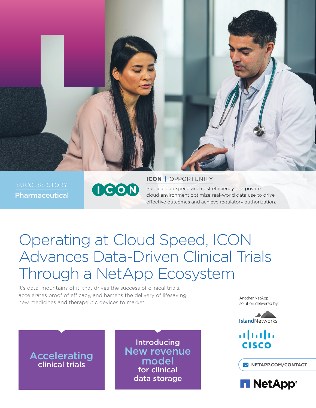

Pharmaceutical



**ICON** | OPPORTUNITY Public cloud speed and cost efficiency in a private cloud environment optimize real-world data use to drive effective outcomes and achieve regulatory authorization.

# Operating at Cloud Speed, ICON Advances Data-Driven Clinical Trials Through a NetApp Ecosystem

It's data, mountains of it, that drives the success of clinical trials, accelerates proof of efficacy, and hastens the delivery of lifesaving new medicines and therapeutic devices to market.

**Accelerating** 

Introducing New revenue model for clinical data storage Clinical trials **[NETAPP.COM/CONTACT](http://www.netapp.com/us/contact-us/index.aspx)** 

Another NetApp solution delivered by:



 $\mathbf{d}$ **CISCO** 

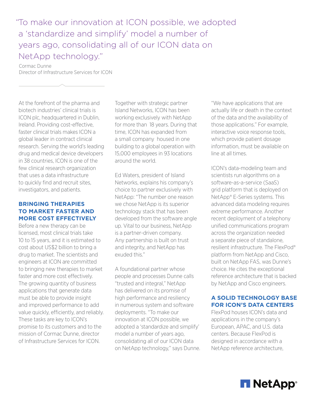"To make our innovation at ICON possible, we adopted a 'standardize and simplify' model a number of years ago, consolidating all of our ICON data on NetApp technology."

Cormac Dunne Director of Infrastructure Services for ICON

At the forefront of the pharma and biotech industries' clinical trials is ICON plc, headquartered in Dublin, Ireland. Providing cost-effective, faster clinical trials makes ICON a global leader in contract clinical research. Serving the world's leading drug and medical device developers in 38 countries, ICON is one of the few clinical research organization that uses a data infrastructure to quickly find and recruit sites, investigators, and patients.

### **BRINGING THERAPIES TO MARKET FASTER AND MORE COST EFFECTIVELY**

Before a new therapy can be licensed, most clinical trials take 10 to 15 years, and it is estimated to cost about US\$2 billion to bring a drug to market. The scientists and engineers at ICON are committed to bringing new therapies to market faster and more cost effectively. The growing quantity of business applications that generate data must be able to provide insight and improved performance to add value quickly, efficiently, and reliably. These tasks are key to ICON's promise to its customers and to the mission of Cormac Dunne, director of Infrastructure Services for ICON.

Together with strategic partner Island Networks, ICON has been working exclusively with NetApp for more than 18 years. During that time, ICON has expanded from a small company housed in one building to a global operation with 15,000 employees in 93 locations around the world.

Ed Waters, president of Island Networks, explains his company's choice to partner exclusively with NetApp: "The number one reason we chose NetApp is its superior technology stack that has been developed from the software angle up. Vital to our business, NetApp is a partner-driven company. Any partnership is built on trust and integrity, and NetApp has exuded this."

A foundational partner whose people and processes Dunne calls "trusted and integral," NetApp has delivered on its promise of high performance and resiliency in numerous system and software deployments. "To make our innovation at ICON possible, we adopted a 'standardize and simplify' model a number of years ago, consolidating all of our ICON data on NetApp technology," says Dunne.

"We have applications that are actually life or death in the context of the data and the availability of those applications." For example, interactive voice response tools, which provide patient dosage information, must be available on line at all times.

ICON's data-modeling team and scientists run algorithms on a software-as-a-service (SaaS) grid platform that is deployed on NetApp® E-Series systems. This advanced data modeling requires extreme performance. Another recent deployment of a telephony unified communications program across the organization needed a separate piece of standalone, resilient infrastructure. The FlexPod® platform from NetApp and Cisco, built on NetApp FAS, was Dunne's choice. He cites the exceptional reference architecture that is backed by NetApp and Cisco engineers.

#### **A SOLID TECHNOLOGY BASE FOR ICON'S DATA CENTERS**

FlexPod houses ICON's data and applications in the company's European, APAC, and U.S. data centers. Because FlexPod is designed in accordance with a NetApp reference architecture,

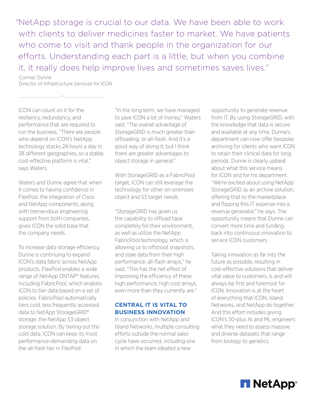"NetApp storage is crucial to our data. We have been able to work with clients to deliver medicines faster to market. We have patients who come to visit and thank people in the organization for our efforts. Understanding each part is a little, but when you combine it, it really does help improve lives and sometimes saves lives."

Cormac Dunne Director of Infrastructure Services for ICON

ICON can count on it for the resiliency, redundancy, and performance that are required to run the business. "There are people who depend on ICON's NetApp technology stacks 24 hours a day in 38 different geographies, so a stable, cost-effective platform is vital," says Waters.

Waters and Dunne agree that when it comes to having confidence in FlexPod, the integration of Cisco and NetApp components, along with tremendous engineering support from both companies, gives ICON the solid base that the company needs.

To increase data storage efficiency, Dunne is continuing to expand ICON's data fabric across NetApp products. FlexPod enables a wide range of NetApp ONTAP® features, including FabricPool, which enables ICON to tier data based on a set of policies. FabricPool automatically tiers cold, less frequently accessed data to NetApp StorageGRID® storage, the NetApp S3 object storage solution. By tiering out the cold data, ICON can keep its most performance-demanding data on the all-flash tier in FlexPod.

"In the long term, we have managed to save ICON a lot of money," Waters said. "The overall advantage of StorageGRID is much greater than offloading, or all-flash. And it's a good way of doing it, but I think there are greater advantages to object storage in general."

With StorageGRID as a FabricPool target, ICON can still leverage the technology for other on-premises object and S3 target needs.

"StorageGRID has given us the capability to offload tape completely for their environment, as well as utilize the NetApp FabricPool technology, which is allowing us to offshoot snapshots, and stale data from their high performance, all-flash arrays," he said. "This has the net effect of improving the efficiency of these high performance, high cost arrays, even more than they currently are."

# **CENTRAL IT IS VITAL TO BUSINESS INNOVATION**

In conjunction with NetApp and Island Networks, multiple consulting efforts outside the normal sales cycle have occurred, including one in which the team ideated a new

opportunity to generate revenue from IT. By using StorageGRID, with the knowledge that data is secure and available at any time, Dunne's department can now offer bespoke archiving for clients who want ICON to retain their clinical data for long periods. Dunne is clearly upbeat about what this service means for ICON and for his department. "We're excited about using NetApp StorageGRID as an archive solution, offering that to the marketplace and flipping this IT expense into a revenue generator," he says. The opportunity means that Dunne can convert more time and funding back into continuous innovation to service ICON customers.

Taking innovation as far into the future as possible, resulting in cost-effective solutions that deliver vital value to customers, is and will always be first and foremost for ICON. Innovation is at the heart of everything that ICON, Island Networks, and NetApp do together. And this effort includes giving ICON's 30-plus AI and ML engineers what they need to assess massive and diverse datasets that range from biology to genetics.

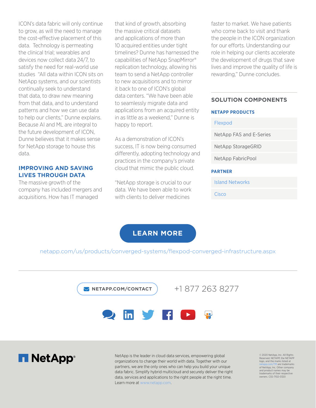ICON's data fabric will only continue to grow, as will the need to manage the cost-effective placement of this data. Technology is permeating the clinical trial; wearables and devices now collect data 24/7, to satisfy the need for real-world use studies "All data within ICON sits on NetApp systems, and our scientists continually seek to understand that data, to draw new meaning from that data, and to understand patterns and how we can use data to help our clients," Dunne explains. Because AI and ML are integral to the future development of ICON, Dunne believes that it makes sense for NetApp storage to house this data.

## **IMPROVING AND SAVING LIVES THROUGH DATA**

The massive growth of the company has included mergers and acquisitions. How has IT managed

that kind of growth, absorbing the massive critical datasets and applications of more than 10 acquired entities under tight timelines? Dunne has harnessed the capabilities of NetApp SnapMirror® replication technology, allowing his team to send a NetApp controller to new acquisitions and to mirror it back to one of ICON's global data centers. "We have been able to seamlessly migrate data and applications from an acquired entity in as little as a weekend," Dunne is happy to report.

As a demonstration of ICON's success, IT is now being consumed differently, adopting technology and practices in the company's private cloud that mimic the public cloud.

"NetApp storage is crucial to our data. We have been able to work with clients to deliver medicines

faster to market. We have patients who come back to visit and thank the people in the ICON organization for our efforts. Understanding our role in helping our clients accelerate the development of drugs that save lives and improve the quality of life is rewarding," Dunne concludes.

#### **SOLUTION COMPONENTS**

#### **NETAPP PRODUCTS**

[Flexpod](https://www.netapp.com/us/products/converged-systems/flexpod-converged-infrastructure.aspx) [NetApp FAS and E-Series](https://www.netapp.com/us/products/storage-systems/hybrid-flash-array/fas8000.aspx) [NetApp StorageGRID](https://www.netapp.com/us/products/data-management-software/object-storage-grid-sds.aspx) NetApp FabricPool **PARTNER**

[Island Networks](https://www.islandnetworks.com/)

[Cisco](https://www.cisco.com/)

# **[LEARN MORE](https://www.netapp.com/us/products/converged-systems/flexpod-converged-infrastructure.aspx)**

[netapp.com/us/products/converged-systems/flexpod-converged-infrastructure.aspx](https://www.netapp.com/us/products/converged-systems/flexpod-converged-infrastructure.aspx)

 **[NETAPP.COM/CONTACT](http://www.netapp.com/us/contact-us/index.aspx)**

+1 877 263 8277





NetApp is the leader in cloud data services, empowering global organizations to change their world with data. Together with our partners, we are the only ones who can help you build your unique data fabric. Simplify hybrid multicloud and securely deliver the right data, services and applications to the right people at the right time. Learn more at [www.netapp.com.](http://www.netapp.com)

© 2020 NetApp, Inc. All Rights Reserved. NETAPP, the NETAPP logo, and the marks listed at netapp.com/TM are trademarks of NetApp, Inc. Other company and product names may be trademarks of their respective owners. CSS-7102-0320